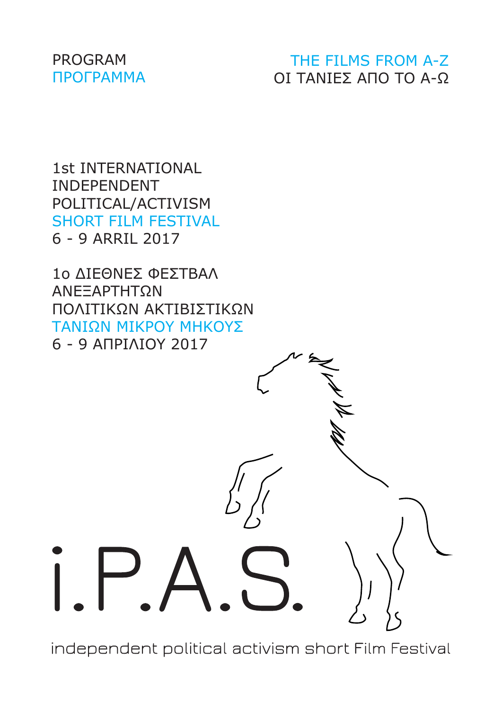#### PROGRAM ΠΡΟΓΡΑΜΜΑ

### THE FILMS FROM A-Z ΟΙ ΤΑΝΙΕΣ ΑΠΟ ΤΟ Α-Ω

1st INTERNATIONAL INDEPENDENT POLITICAL/ACTIVISM SHORT FILM FESTIVAL 6 - 9 ARRIL 2017

1ο ΔΙΕΘΝΕΣ ΦΕΣΤΒΑΛ ΑΝΕΞΑΡΤΗΤΩΝ ΠΟΛΙΤΙΚΩΝ ΑΚΤΙΒΙΣΤΙΚΩΝ ΤΑΝΙΩΝ ΜΙΚΡΟΥ ΜΗΚΟΥΣ 6 - 9 ΑΠΡΙΛΙΟΥ 2017



independent political activism short Film Festival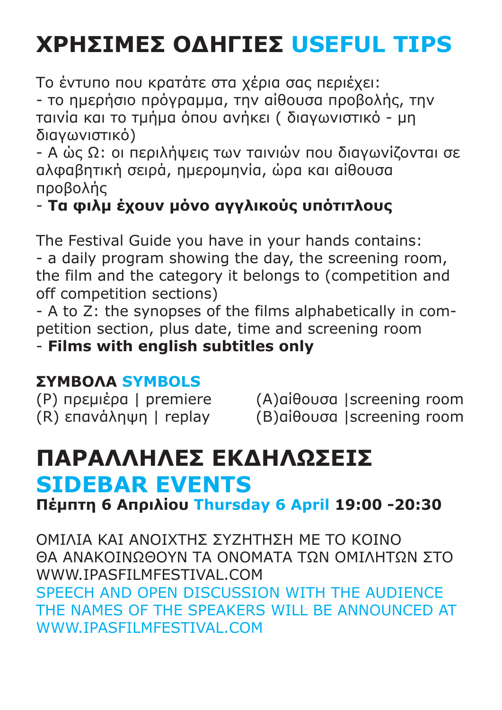# **ΧΡΗΣΙΜΕΣ ΟΔΗΓΙΕΣ USEFUL TIPS**

Το έντυπο που κρατάτε στα χέρια σας περιέχει:

- το ημερήσιο πρόγραμμα, την αίθουσα προβολής, την ταινία και το τμήμα όπου ανήκει ( διαγωνιστικό - μη διαγωνιστικό)

- A ώς Ω: οι περιλήψεις των ταινιών που διαγωνίζονται σε αλφαβητική σειρά, ημερομηνία, ώρα και αίθουσα προβολής

## - **Τα φιλμ έχουν μόνο αγγλικούς υπότιτλους**

The Festival Guide you have in your hands contains: - a daily program showing the day, the screening room, the film and the category it belongs to (competition and off competition sections)

- A to Z: the synopses of the films alphabetically in competition section, plus date, time and screening room

- **Films with english subtitles only**

## **ΣΥΜΒΟΛΑ SYMBOLS**

(P) πρεμιέρα | premiere (A)αίθουσα |screening room (R) επανάληψη | replay (B)αίθουσα |screening room

# **ΠΑΡΑΛΛΗΛΕΣ ΕΚΔΗΛΩΣΕΙΣ SIDEBAR EVENTS**

**Πέμπτη 6 Απριλίου Thursday 6 April 19:00 -20:30**

ΟΜΙΛΙΑ ΚΑΙ ΑΝΟΙΧΤΗΣ ΣΥΖΗΤΗΣΗ ΜΕ ΤΟ ΚΟΙΝΟ ΘΑ ΑΝΑΚΟΙΝΩΘΟΥΝ ΤΑ ΟΝΟΜΑΤΑ ΤΩΝ ΟΜΙΛΗΤΩΝ ΣΤΟ WWW.IPASFILMFESTIVAL.COM SPEECH AND OPEN DISCUSSION WITH THE AUDIENCE THE NAMES OF THE SPEAKERS WILL BE ANNOUNCED AT WWW.IPASFILMFESTIVAL.COM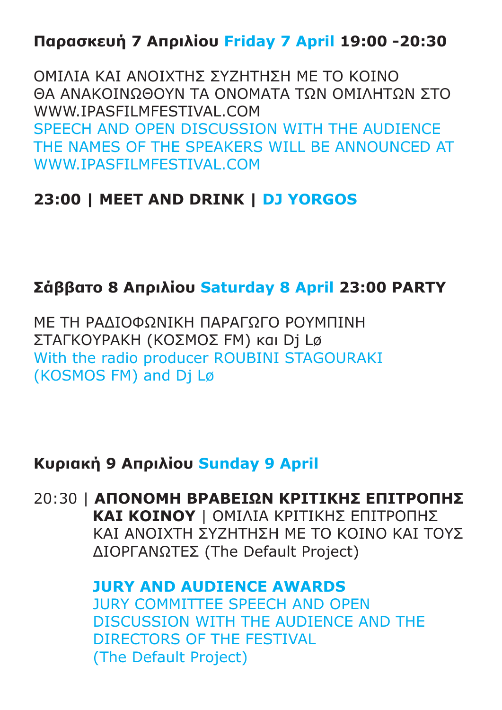## **Παρασκευή 7 Απριλίου Friday 7 April 19:00 -20:30**

ΟΜΙΛΙΑ ΚΑΙ ΑΝΟΙΧΤΗΣ ΣΥΖΗΤΗΣΗ ΜΕ ΤΟ ΚΟΙΝΟ ΘΑ ΑΝΑΚΟΙΝΩΘΟΥΝ ΤΑ ΟΝΟΜΑΤΑ ΤΩΝ ΟΜΙΛΗΤΩΝ ΣΤΟ WWW.IPASFILMFESTIVAL.COM SPEECH AND OPEN DISCUSSION WITH THE AUDIENCE THE NAMES OF THE SPEAKERS WILL BE ANNOUNCED AT WWW.IPASFILMFESTIVAL.COM

### **23:00 | MEET AND DRINK | DJ YORGOS**

### **Σάββατο 8 Απριλίου Saturday 8 April 23:00 PARTY**

ΜΕ ΤH ΡΑΔΙΟΦΩΝΙΚH ΠΑΡΑΓΩΓΟ ΡΟΥΜΠΙΝΗ ΣΤΑΓΚΟΥΡΑΚΗ (ΚΟΣΜΟΣ FM) και Dj Lø With the radio producer ROUBINI STAGOURAKI (KOSMOS FM) and Dj Lø

### **Κυριακή 9 Απριλίου Sunday 9 April**

#### 20:30 | **ΑΠΟΝΟΜΗ ΒΡΑΒΕΙΩΝ ΚΡΙΤΙΚΗΣ ΕΠΙΤΡΟΠΗΣ ΚΑΙ ΚΟΙΝΟΥ** | ΟΜΙΛΙΑ ΚΡΙΤΙΚΗΣ ΕΠΙΤΡΟΠΗΣ ΚΑΙ ΑΝΟΙΧΤΗ ΣΥΖΗΤΗΣΗ ΜΕ ΤΟ ΚΟΙΝΟ ΚΑΙ ΤΟΥΣ ΔΙΟΡΓΑΝΩΤΕΣ (The Default Project)

### **JURY AND AUDIENCE AWARDS** JURY COMMITTEE SPEECH AND OPEN DISCUSSION WITH THE AUDIENCE AND THE DIRECTORS OF THE FESTIVAL (The Default Project)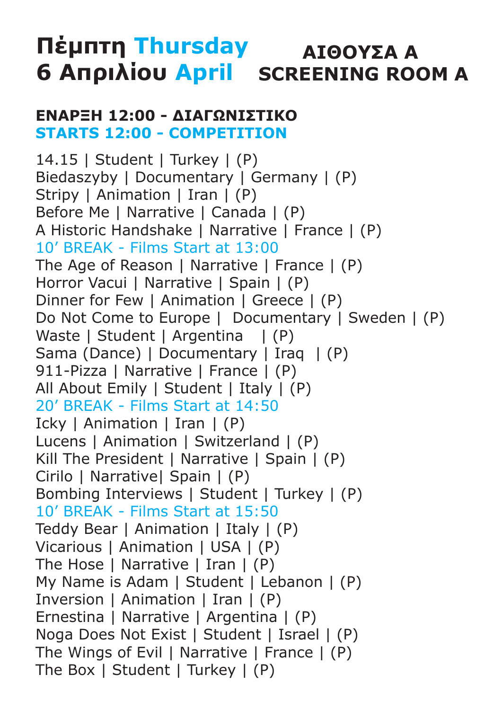# **Πέμπτη Thursday ΑΙΘΟΥΣΑ Α 6 Απριλίου April SCREENING ROOM A**

#### **ΕΝΑΡΞΗ 12:00 - ΔΙΑΓΩΝΙΣΤΙΚΟ STARTS 12:00 - COMPETITION**

14.15 | Student | Turkey | (P) Biedaszyby | Documentary | Germany | (P) Stripy | Animation | Iran | (P) Before Me | Narrative | Canada | (P) A Historic Handshake | Narrative | France | (P) 10' BREAK - Films Start at 13:00 The Age of Reason | Narrative | France | (P) Horror Vacui | Narrative | Spain | (P) Dinner for Few | Animation | Greece | (P) Do Not Come to Europe | Documentary | Sweden | (P) Waste | Student | Argentina | (P) Sama (Dance) | Documentary | Iraq | (P) 911-Pizza | Narrative | France | (P) All About Emily | Student | Italy | (P) 20' BREAK - Films Start at 14:50 Icky | Animation | Iran | (P) Lucens | Animation | Switzerland | (P) Kill The President | Narrative | Spain | (P) Cirilo | Narrative| Spain | (P) Bombing Interviews | Student | Turkey | (P) 10' BREAK - Films Start at 15:50 Teddy Bear | Animation | Italy | (P) Vicarious | Animation | USA | (P) The Hose | Narrative | Iran | (P) My Name is Adam | Student | Lebanon | (P) Inversion | Animation | Iran | (P) Ernestina | Narrative | Argentina | (P) Noga Does Not Exist | Student | Israel | (P) The Wings of Evil | Narrative | France | (P) The Box | Student | Turkey | (P)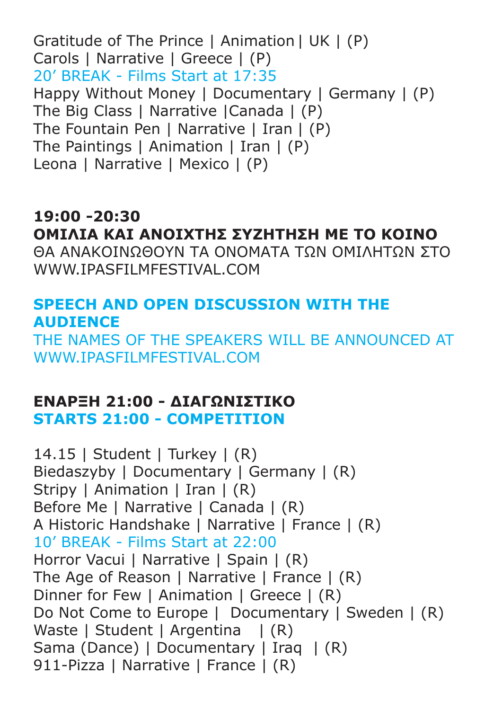Gratitude of The Prince | Animation | UK | (P) Carols | Narrative | Greece | (P) 20' BREAK - Films Start at 17:35 Happy Without Money | Documentary | Germany | (P) The Big Class | Narrative |Canada | (P) The Fountain Pen | Narrative | Iran | (P) The Paintings | Animation | Iran | (P) Leona | Narrative | Mexico | (P)

### **19:00 -20:30 ΟΜΙΛΙΑ ΚΑΙ ΑΝΟΙΧΤΗΣ ΣΥΖΗΤΗΣΗ ΜΕ ΤΟ ΚΟΙΝΟ** ΘΑ ΑΝΑΚΟΙΝΩΘΟΥΝ ΤΑ ΟΝΟΜΑΤΑ ΤΩΝ ΟΜΙΛΗΤΩΝ ΣΤΟ

WWW.IPASFILMFESTIVAL.COM

### **SPEECH AND OPEN DISCUSSION WITH THE AUDIENCE**

THE NAMES OF THE SPEAKERS WILL BE ANNOUNCED AT WWW.IPASFILMFESTIVAL.COM

#### **ΕΝΑΡΞΗ 21:00 - ΔΙΑΓΩΝΙΣΤΙΚΟ STARTS 21:00 - COMPETITION**

14.15 | Student | Turkey | (R) Biedaszyby | Documentary | Germany | (R) Stripy | Animation | Iran | (R) Before Me | Narrative | Canada | (R) A Historic Handshake | Narrative | France | (R) 10' BREAK - Films Start at 22:00 Horror Vacui | Narrative | Spain | (R) The Age of Reason | Narrative | France | (R) Dinner for Few | Animation | Greece | (R) Do Not Come to Europe | Documentary | Sweden | (R) Waste | Student | Argentina | (R) Sama (Dance) | Documentary | Iraq | (R) 911-Pizza | Narrative | France | (R)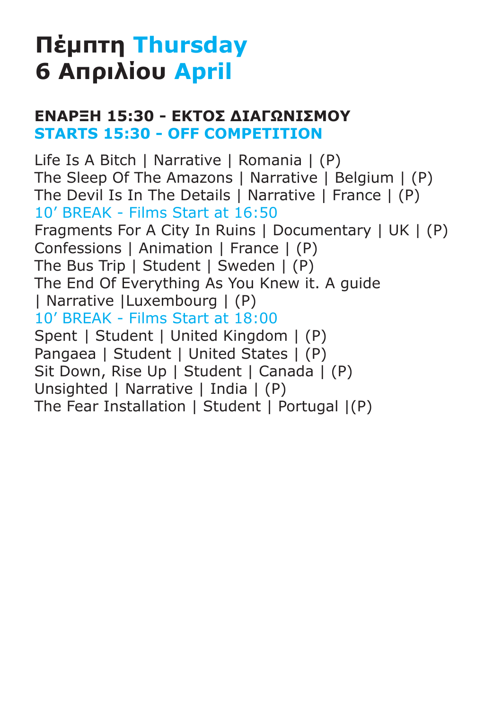# **Πέμπτη Thursday 6 Απριλίου April**

### **ΕΝΑΡΞΗ 15:30 - ΕΚΤΟΣ ΔΙΑΓΩΝΙΣΜΟΥ STARTS 15:30 - OFF COMPETITION**

Life Is A Bitch | Narrative | Romania | (P) The Sleep Of The Amazons | Narrative | Belgium | (P) The Devil Is In The Details | Narrative | France | (P) 10' BREAK - Films Start at 16:50 Fragments For A City In Ruins | Documentary | UK | (P) Confessions | Animation | France | (P) The Bus Trip | Student | Sweden | (P) The End Of Everything As You Knew it. A guide | Narrative |Luxembourg | (P) 10' BREAK - Films Start at 18:00 Spent | Student | United Kingdom | (P) Pangaea | Student | United States | (P) Sit Down, Rise Up | Student | Canada | (P) Unsighted | Narrative | India | (P) The Fear Installation | Student | Portugal |(P)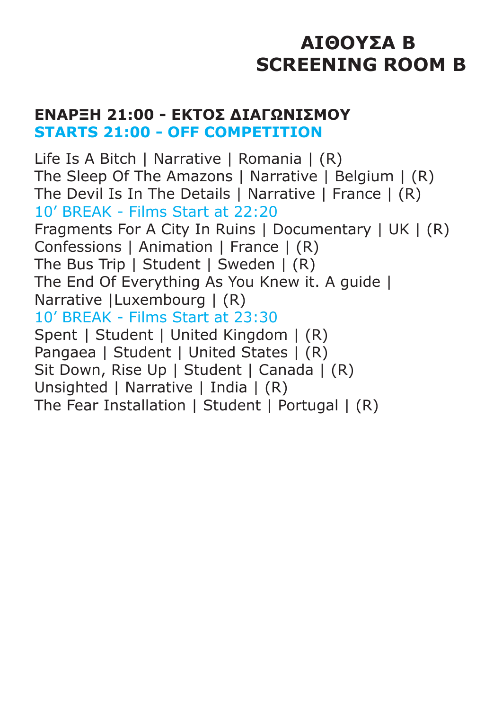# **ΑΙΘΟΥΣΑ B SCREENING ROOM B**

#### **ΕΝΑΡΞΗ 21:00 - ΕΚΤΟΣ ΔΙΑΓΩΝΙΣΜΟΥ STARTS 21:00 - OFF COMPETITION**

Life Is A Bitch | Narrative | Romania | (R) The Sleep Of The Amazons | Narrative | Belgium | (R) The Devil Is In The Details | Narrative | France | (R) 10' BREAK - Films Start at 22:20 Fragments For A City In Ruins | Documentary | UK | (R) Confessions | Animation | France | (R) The Bus Trip | Student | Sweden | (R) The End Of Everything As You Knew it. A guide | Narrative |Luxembourg | (R) 10' BREAK - Films Start at 23:30 Spent | Student | United Kingdom | (R) Pangaea | Student | United States | (R) Sit Down, Rise Up | Student | Canada | (R) Unsighted | Narrative | India | (R) The Fear Installation | Student | Portugal | (R)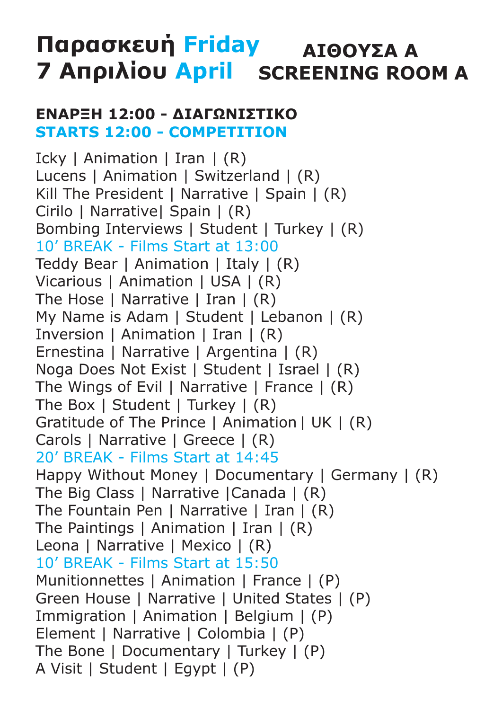# **Παρασκευή Friday ΑΙΘΟΥΣΑ Α 7 Απριλίου April SCREENING ROOM A**

#### **ΕΝΑΡΞΗ 12:00 - ΔΙΑΓΩΝΙΣΤΙΚΟ STARTS 12:00 - COMPETITION**

Icky | Animation | Iran | (R) Lucens | Animation | Switzerland | (R) Kill The President | Narrative | Spain | (R) Cirilo | Narrative| Spain | (R) Bombing Interviews | Student | Turkey | (R) 10' BREAK - Films Start at 13:00 Teddy Bear | Animation | Italy | (R) Vicarious | Animation | USA | (R) The Hose | Narrative | Iran | (R) My Name is Adam | Student | Lebanon | (R) Inversion | Animation | Iran | (R) Ernestina | Narrative | Argentina | (R) Noga Does Not Exist | Student | Israel | (R) The Wings of Evil | Narrative | France | (R) The Box | Student | Turkey | (R) Gratitude of The Prince | Animation | UK | (R) Carols | Narrative | Greece | (R) 20' BREAK - Films Start at 14:45 Happy Without Money | Documentary | Germany | (R) The Big Class | Narrative |Canada | (R) The Fountain Pen | Narrative | Iran | (R) The Paintings | Animation | Iran | (R) Leona | Narrative | Mexico | (R) 10' BREAK - Films Start at 15:50 Munitionnettes | Animation | France | (P) Green House | Narrative | United States | (P) Immigration | Animation | Belgium | (P) Element | Narrative | Colombia | (P) The Bone | Documentary | Turkey | (P) A Visit | Student | Egypt | (P)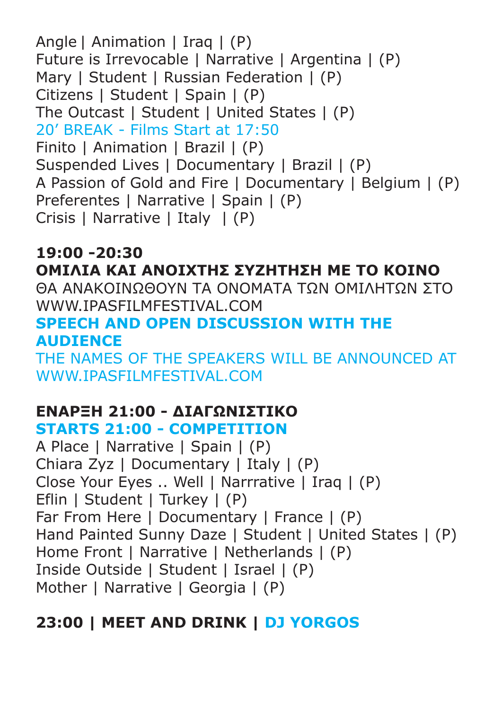Angle | Animation | Iraq | (P) Future is Irrevocable | Narrative | Argentina | (P) Mary | Student | Russian Federation | (P) Citizens | Student | Spain | (P) The Outcast | Student | United States | (P) 20' BREAK - Films Start at 17:50 Finito | Animation | Brazil | (P) Suspended Lives | Documentary | Brazil | (P) A Passion of Gold and Fire | Documentary | Belgium | (P) Preferentes | Narrative | Spain | (P) Crisis | Narrative | Italy | (P)

**19:00 -20:30 ΟΜΙΛΙΑ ΚΑΙ ΑΝΟΙΧΤΗΣ ΣΥΖΗΤΗΣΗ ΜΕ ΤΟ ΚΟΙΝΟ** ΘΑ ΑΝΑΚΟΙΝΩΘΟΥΝ ΤΑ ΟΝΟΜΑΤΑ ΤΩΝ ΟΜΙΛΗΤΩΝ ΣΤΟ WWW.IPASFILMFESTIVAL.COM **SPEECH AND OPEN DISCUSSION WITH THE AUDIENCE** THE NAMES OF THE SPEAKERS WILL BE ANNOUNCED AT WWW.TPASFILMFESTIVAL.COM

### **ΕΝΑΡΞΗ 21:00 - ΔΙΑΓΩΝΙΣΤΙΚΟ**

### **STARTS 21:00 - COMPETITION**

A Place | Narrative | Spain | (P) Chiara Zyz | Documentary | Italy | (P) Close Your Eyes .. Well | Narrrative | Iraq | (P) Eflin | Student | Turkey | (P) Far From Here | Documentary | France | (P) Hand Painted Sunny Daze | Student | United States | (P) Home Front | Narrative | Netherlands | (P) Inside Outside | Student | Israel | (P) Mother | Narrative | Georgia | (P)

## **23:00 | MEET AND DRINK | DJ YORGOS**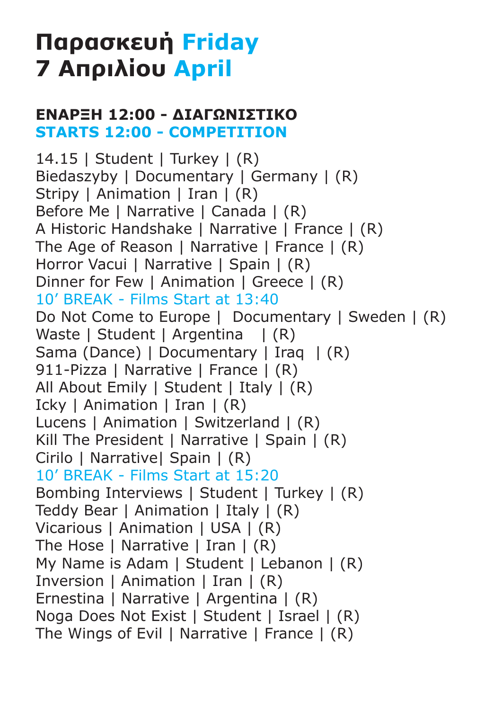# **Παρασκευή Friday 7 Απριλίου April**

#### **ΕΝΑΡΞΗ 12:00 - ΔΙΑΓΩΝΙΣΤΙΚΟ STARTS 12:00 - COMPETITION**

14.15 | Student | Turkey | (R) Biedaszyby | Documentary | Germany | (R) Stripy | Animation | Iran | (R) Before Me | Narrative | Canada | (R) A Historic Handshake | Narrative | France | (R) The Age of Reason | Narrative | France | (R) Horror Vacui | Narrative | Spain | (R) Dinner for Few | Animation | Greece | (R) 10' BREAK - Films Start at 13:40 Do Not Come to Europe | Documentary | Sweden | (R) Waste | Student | Argentina | (R) Sama (Dance) | Documentary | Iraq | (R) 911-Pizza | Narrative | France | (R) All About Emily | Student | Italy | (R) Icky | Animation | Iran | (R) Lucens | Animation | Switzerland | (R) Kill The President | Narrative | Spain | (R) Cirilo | Narrative| Spain | (R) 10' BREAK - Films Start at 15:20 Bombing Interviews | Student | Turkey | (R) Teddy Bear | Animation | Italy | (R) Vicarious | Animation | USA | (R) The Hose | Narrative | Iran | (R) My Name is Adam | Student | Lebanon | (R) Inversion | Animation | Iran | (R) Ernestina | Narrative | Argentina | (R) Noga Does Not Exist | Student | Israel | (R) The Wings of Evil | Narrative | France | (R)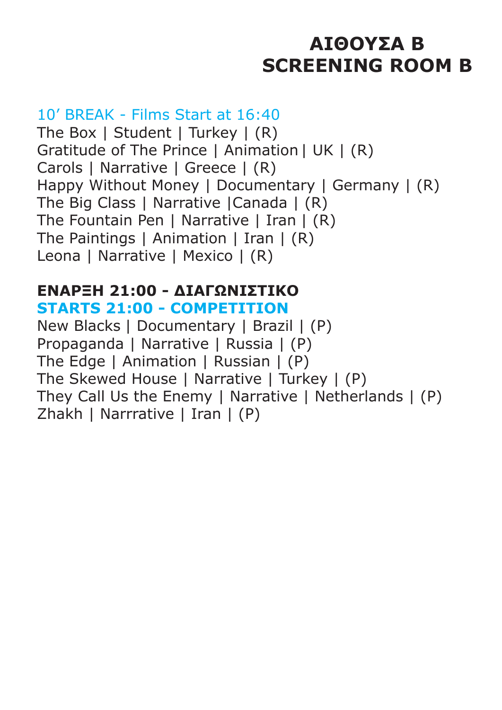# **ΑΙΘΟΥΣΑ B SCREENING ROOM B**

### 10' BREAK - Films Start at 16:40

The Box | Student | Turkey | (R) Gratitude of The Prince | Animation | UK | (R) Carols | Narrative | Greece | (R) Happy Without Money | Documentary | Germany | (R) The Big Class | Narrative | Canada | (R) The Fountain Pen | Narrative | Iran | (R) The Paintings | Animation | Iran | (R) Leona | Narrative | Mexico | (R)

#### **ΕΝΑΡΞΗ 21:00 - ΔΙΑΓΩΝΙΣΤΙΚΟ STARTS 21:00 - COMPETITION**

New Blacks | Documentary | Brazil | (P) Propaganda | Narrative | Russia | (P) The Edge | Animation | Russian | (P) The Skewed House | Narrative | Turkey | (P) They Call Us the Enemy | Narrative | Netherlands | (P) Zhakh | Narrrative | Iran | (P)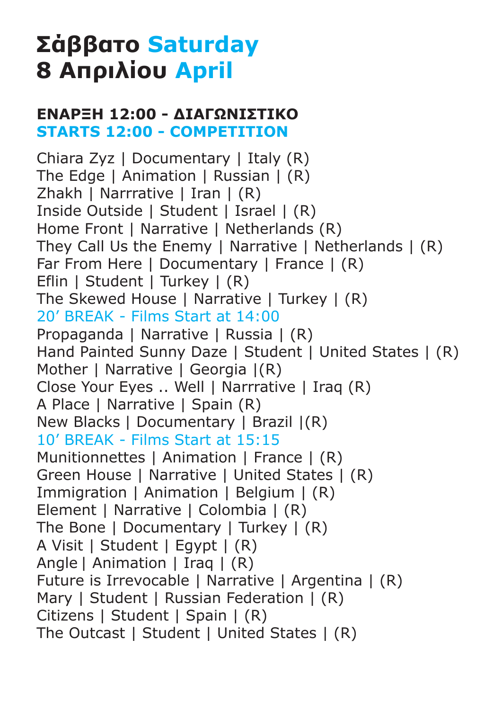# **Σάββατο Saturday 8 Απριλίου April**

### **ΕΝΑΡΞΗ 12:00 - ΔΙΑΓΩΝΙΣΤΙΚΟ STARTS 12:00 - COMPETITION**

Chiara Zyz | Documentary | Italy (R) The Edge | Animation | Russian | (R) Zhakh | Narrrative | Iran | (R) Inside Outside | Student | Israel | (R) Home Front | Narrative | Netherlands (R) They Call Us the Enemy | Narrative | Netherlands | (R) Far From Here | Documentary | France | (R) Eflin | Student | Turkey | (R) The Skewed House | Narrative | Turkey | (R) 20' BREAK - Films Start at 14:00 Propaganda | Narrative | Russia | (R) Hand Painted Sunny Daze | Student | United States | (R) Mother | Narrative | Georgia  $|(R)$ Close Your Eyes .. Well | Narrrative | Iraq (R) A Place | Narrative | Spain (R) New Blacks | Documentary | Brazil |(R) 10' BREAK - Films Start at 15:15 Munitionnettes | Animation | France | (R) Green House | Narrative | United States | (R) Immigration | Animation | Belgium | (R) Element | Narrative | Colombia | (R) The Bone | Documentary | Turkey | (R) A Visit | Student | Egypt | (R) Angle | Animation | Iraq | (R) Future is Irrevocable | Narrative | Argentina | (R) Mary | Student | Russian Federation | (R) Citizens | Student | Spain | (R) The Outcast | Student | United States | (R)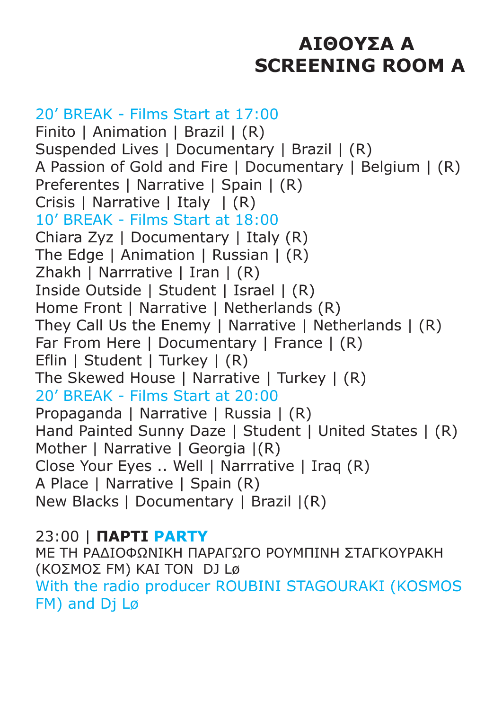# **ΑΙΘΟΥΣΑ Α SCREENING ROOM A**

20' BREAK - Films Start at 17:00 Finito | Animation | Brazil | (R) Suspended Lives | Documentary | Brazil | (R) A Passion of Gold and Fire | Documentary | Belgium | (R) Preferentes | Narrative | Spain | (R) Crisis | Narrative | Italy | (R) 10' BREAK - Films Start at 18:00 Chiara Zyz | Documentary | Italy (R) The Edge | Animation | Russian | (R) Zhakh | Narrrative | Iran | (R) Inside Outside | Student | Israel | (R) Home Front | Narrative | Netherlands (R) They Call Us the Enemy | Narrative | Netherlands | (R) Far From Here | Documentary | France | (R) Eflin | Student | Turkey | (R) The Skewed House | Narrative | Turkey | (R) 20' BREAK - Films Start at 20:00 Propaganda | Narrative | Russia | (R) Hand Painted Sunny Daze | Student | United States | (R) Mother | Narrative | Georgia  $|(R)$ Close Your Eyes .. Well | Narrrative | Iraq (R) A Place | Narrative | Spain (R) New Blacks | Documentary | Brazil |(R)

23:00 | **ΠΑΡΤΙ PARTY** ΜΕ ΤΗ ΡΑΔΙΟΦΩΝΙΚΗ ΠΑΡΑΓΩΓΟ ΡΟΥΜΠΙΝΗ ΣΤΑΓΚΟΥΡΑΚΗ (ΚΟΣΜΟΣ FM) ΚΑΙ ΤΟΝ DJ Lø With the radio producer ROUBINI STAGOURAKI (KOSMOS FM) and Dj Lø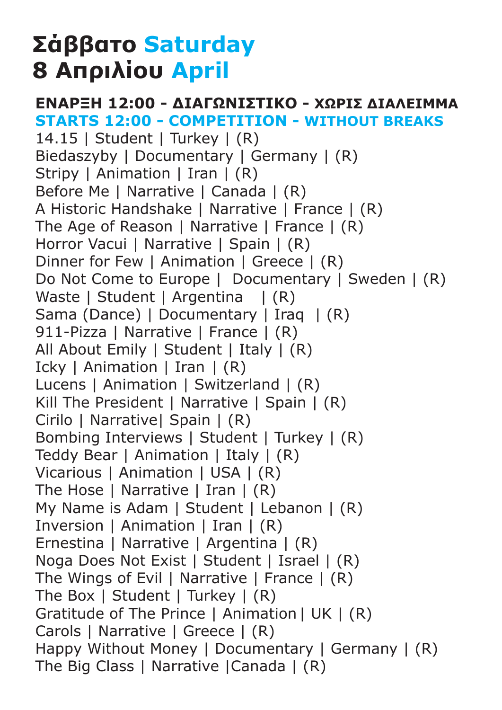# **Σάββατο Saturday 8 Απριλίου April**

#### **ΕΝΑΡΞΗ 12:00 - ΔΙΑΓΩΝΙΣΤΙΚΟ - ΧΩΡΙΣ ΔΙΑΛΕΙΜΜΑ STARTS 12:00 - COMPETITION - WITHOUT BREAKS**

14.15 | Student | Turkey | (R) Biedaszyby | Documentary | Germany | (R) Stripy | Animation | Iran | (R) Before Me | Narrative | Canada | (R) A Historic Handshake | Narrative | France | (R) The Age of Reason | Narrative | France | (R) Horror Vacui | Narrative | Spain | (R) Dinner for Few | Animation | Greece | (R) Do Not Come to Europe | Documentary | Sweden | (R) Waste | Student | Argentina | (R) Sama (Dance) | Documentary | Iraq | (R) 911-Pizza | Narrative | France | (R) All About Emily | Student | Italy | (R) Icky | Animation | Iran | (R) Lucens | Animation | Switzerland | (R) Kill The President | Narrative | Spain | (R) Cirilo | Narrative| Spain | (R) Bombing Interviews | Student | Turkey | (R) Teddy Bear | Animation | Italy | (R) Vicarious | Animation | USA | (R) The Hose | Narrative | Iran | (R) My Name is Adam | Student | Lebanon | (R) Inversion | Animation | Iran | (R) Ernestina | Narrative | Argentina | (R) Noga Does Not Exist | Student | Israel | (R) The Wings of Evil | Narrative | France | (R) The Box | Student | Turkey | (R) Gratitude of The Prince | Animation | UK | (R) Carols | Narrative | Greece | (R) Happy Without Money | Documentary | Germany | (R) The Big Class | Narrative |Canada | (R)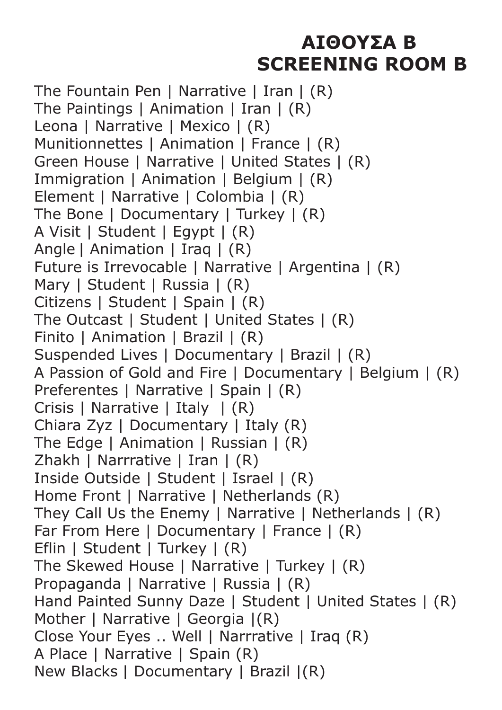# **ΑΙΘΟΥΣΑ B SCREENING ROOM B**

The Fountain Pen | Narrative | Iran | (R) The Paintings | Animation | Iran | (R) Leona | Narrative | Mexico | (R) Munitionnettes | Animation | France | (R) Green House | Narrative | United States | (R) Immigration | Animation | Belgium | (R) Element | Narrative | Colombia | (R) The Bone | Documentary | Turkey | (R) A Visit | Student | Egypt | (R) Angle | Animation | Iraq | (R) Future is Irrevocable | Narrative | Argentina | (R) Mary | Student | Russia | (R) Citizens | Student | Spain | (R) The Outcast | Student | United States | (R) Finito | Animation | Brazil | (R) Suspended Lives | Documentary | Brazil | (R) A Passion of Gold and Fire | Documentary | Belgium | (R) Preferentes | Narrative | Spain | (R) Crisis | Narrative | Italy | (R) Chiara Zyz | Documentary | Italy (R) The Edge | Animation | Russian | (R) Zhakh | Narrrative | Iran | (R) Inside Outside | Student | Israel | (R) Home Front | Narrative | Netherlands (R) They Call Us the Enemy | Narrative | Netherlands | (R) Far From Here | Documentary | France | (R) Eflin | Student | Turkey | (R) The Skewed House | Narrative | Turkey | (R) Propaganda | Narrative | Russia | (R) Hand Painted Sunny Daze | Student | United States | (R) Mother | Narrative | Georgia  $|(R)$ Close Your Eyes .. Well | Narrrative | Iraq (R) A Place | Narrative | Spain (R) New Blacks | Documentary | Brazil |(R)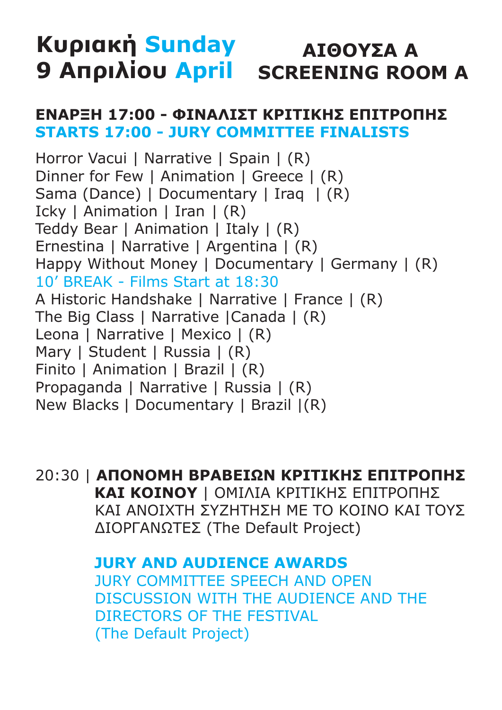### **Κυριακή Sunday 9 Απριλίου April SCREENING ROOM AΑΙΘΟΥΣΑ Α**

#### **ΕΝΑΡΞΗ 17:00 - ΦΙΝΑΛΙΣΤ ΚΡΙΤIΚΗΣ ΕΠΙΤΡΟΠΗΣ STARTS 17:00 - JURY COMMITTEE FINALISTS**

Horror Vacui | Narrative | Spain | (R) Dinner for Few | Animation | Greece | (R) Sama (Dance) | Documentary | Iraq | (R) Icky | Animation | Iran | (R) Teddy Bear | Animation | Italy | (R) Ernestina | Narrative | Argentina | (R) Happy Without Money | Documentary | Germany | (R) 10' BREAK - Films Start at 18:30 A Historic Handshake | Narrative | France | (R) The Big Class | Narrative |Canada | (R) Leona | Narrative | Mexico | (R) Mary | Student | Russia | (R) Finito | Animation | Brazil | (R) Propaganda | Narrative | Russia | (R) New Blacks | Documentary | Brazil |(R)

20:30 | **ΑΠΟΝΟΜΗ ΒΡΑΒΕΙΩΝ ΚΡΙΤΙΚΗΣ ΕΠΙΤΡΟΠΗΣ ΚΑΙ ΚΟΙΝΟΥ** | ΟΜΙΛΙΑ ΚΡΙΤΙΚΗΣ ΕΠΙΤΡΟΠΗΣ ΚΑΙ ΑΝΟΙΧΤΗ ΣΥΖΗΤΗΣΗ ΜΕ ΤΟ ΚΟΙΝΟ ΚΑΙ ΤΟΥΣ ΔΙΟΡΓΑΝΩΤΕΣ (The Default Project)

> **JURY AND AUDIENCE AWARDS** JURY COMMITTEE SPEECH AND OPEN DISCUSSION WITH THE AUDIENCE AND THE DIRECTORS OF THE FESTIVAL (The Default Project)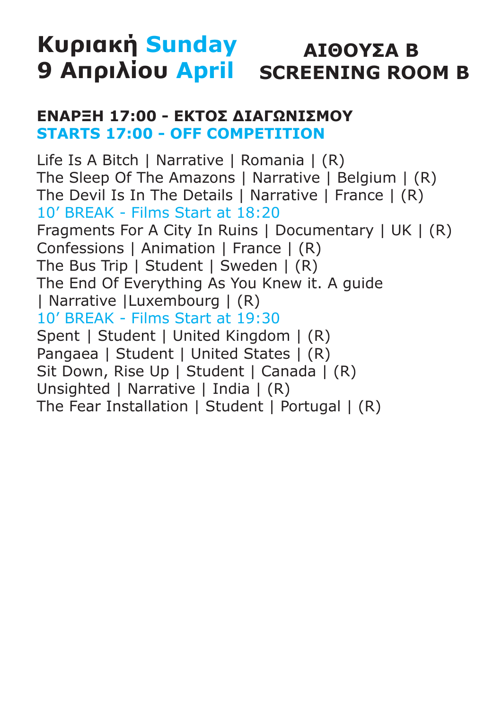### **Κυριακή Sunday 9 Απριλίου April SCREENING ROOM B ΑΙΘΟΥΣΑ B**

### **ΕΝΑΡΞΗ 17:00 - ΕΚΤΟΣ ΔΙΑΓΩΝΙΣΜΟΥ STARTS 17:00 - OFF COMPETITION**

Life Is A Bitch | Narrative | Romania | (R) The Sleep Of The Amazons | Narrative | Belgium | (R) The Devil Is In The Details | Narrative | France | (R) 10' BREAK - Films Start at 18:20 Fragments For A City In Ruins | Documentary | UK | (R) Confessions | Animation | France | (R) The Bus Trip | Student | Sweden | (R) The End Of Everything As You Knew it. A guide | Narrative |Luxembourg | (R) 10' BREAK - Films Start at 19:30 Spent | Student | United Kingdom | (R) Pangaea | Student | United States | (R) Sit Down, Rise Up | Student | Canada | (R) Unsighted | Narrative | India | (R) The Fear Installation | Student | Portugal | (R)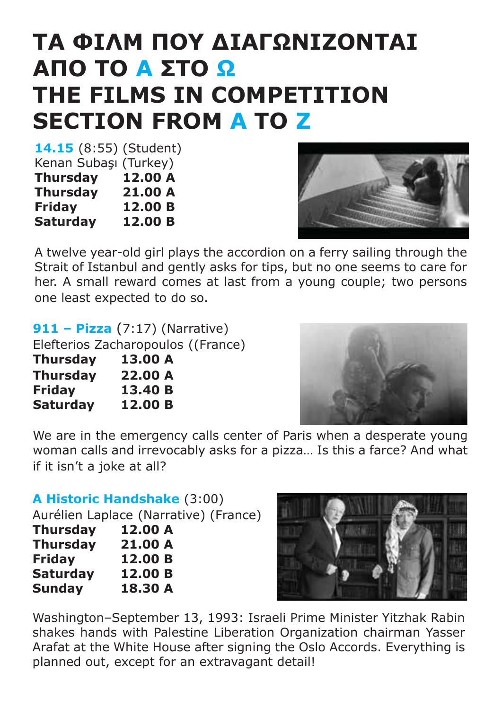# **TA ΦΙΛΜ ΠΟΥ ΔΙΑΓΩΝΙΖΟΝΤΑΙ ΑΠΟ TO A ΣΤΟ Ω THE FILMS IN COMPETITION SECTION FROM A TO Z**

**14.15** (8:55) (Student) Kenan Subaşı (Turkey)<br>Thursdav 12.00 A **Thursday Thursday 21.00 A Friday 12.00 B Saturday 12.00 B**



A twelve year-old girl plays the accordion on a ferry sailing through the Strait of Istanbul and gently asks for tips, but no one seems to care for her. A small reward comes at last from a young couple; two persons one least expected to do so.

| <b>911 – Pizza</b> $(7:17)$ (Narrative) |  |  |
|-----------------------------------------|--|--|
| Elefterios Zacharopoulos ((France)      |  |  |
| 13.00 A                                 |  |  |
| 22.00 A                                 |  |  |
| 13.40 B                                 |  |  |
| 12.00 B                                 |  |  |
|                                         |  |  |



We are in the emergency calls center of Paris when a desperate young woman calls and irrevocably asks for a pizza… Is this a farce? And what if it isn't a joke at all?

#### **A Historic Handshake** (3:00)

Aurélien Laplace (Narrative) (France) **Thursday 12.00 A Thursday 21.00 A Friday 12.00 B Saturday 12.00 B Sunday 18.30 A**



Washington–September 13, 1993: Israeli Prime Minister Yitzhak Rabin shakes hands with Palestine Liberation Organization chairman Yasser Arafat at the White House after signing the Oslo Accords. Everything is planned out, except for an extravagant detail!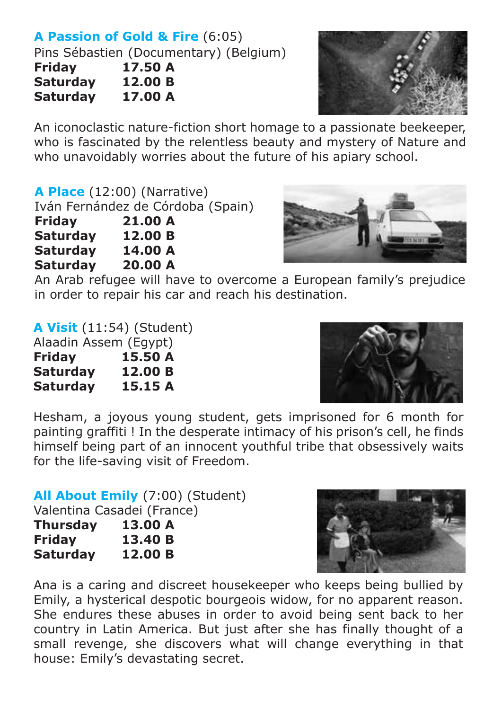## **A Passion of Gold & Fire** (6:05)

Pins Sébastien (Documentary) (Belgium)<br>Fridav 17.50 A

**17.50 A**<br>12.00 B **Saturday Saturday 17.00 A**



An iconoclastic nature-fiction short homage to a passionate beekeeper, who is fascinated by the relentless beauty and mystery of Nature and who unavoidably worries about the future of his apiary school.

**A Place** (12:00) (Narrative) Iván Fernández de Córdoba (Spain)

**Friday 21.00 A Saturday Saturday 14.00 A Saturday 20.00 A**



An Arab refugee will have to overcome a European family's prejudice in order to repair his car and reach his destination.

**A Visit** (11:54) (Student) Alaadin Assem (Egypt)

**Friday 15.50 A Saturday 12.00 B**

**Saturday 15.15 A**



Hesham, a joyous young student, gets imprisoned for 6 month for painting graffiti ! In the desperate intimacy of his prison's cell, he finds himself being part of an innocent youthful tribe that obsessively waits for the life-saving visit of Freedom.

**All About Emily** (7:00) (Student) Valentina Casadei (France) **Thursday 13.00 A Friday 13.40 B Saturday 12.00 B**



Ana is a caring and discreet housekeeper who keeps being bullied by Emily, a hysterical despotic bourgeois widow, for no apparent reason. She endures these abuses in order to avoid being sent back to her country in Latin America. But just after she has finally thought of a small revenge, she discovers what will change everything in that house: Emily's devastating secret.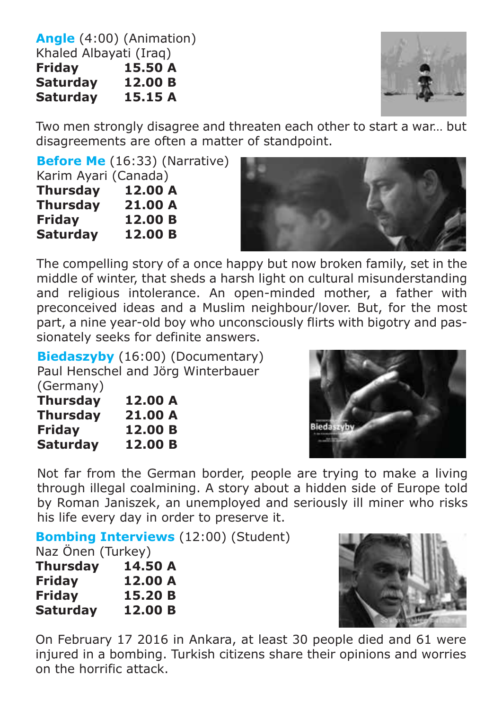**Angle** (4:00) (Animation) Khaled Albayati (Iraq)<br>Fridav 15.50 A **15.50 A**<br>**12.00 B Saturday 12.00 B Saturday** 



Two men strongly disagree and threaten each other to start a war… but disagreements are often a matter of standpoint.

**Before Me** (16:33) (Narrative)

| Karim Ayari (Canada) |         |  |
|----------------------|---------|--|
| <b>Thursday</b>      | 12.00 A |  |
| <b>Thursday</b>      | 21.00 A |  |
| Friday               | 12.00 B |  |
| <b>Saturday</b>      | 12.00 B |  |



The compelling story of a once happy but now broken family, set in the middle of winter, that sheds a harsh light on cultural misunderstanding and religious intolerance. An open-minded mother, a father with preconceived ideas and a Muslim neighbour/lover. But, for the most part, a nine year-old boy who unconsciously flirts with bigotry and passionately seeks for definite answers.

**Biedaszyby** (16:00) (Documentary) Paul Henschel and Jörg Winterbauer

| Thursday        | 12.00 A |
|-----------------|---------|
| <b>Thursday</b> | 21.00 A |
| <b>Friday</b>   | 12.00 B |
| <b>Saturday</b> | 12.00 B |



Not far from the German border, people are trying to make a living through illegal coalmining. A story about a hidden side of Europe told by Roman Janiszek, an unemployed and seriously ill miner who risks his life every day in order to preserve it.

**Bombing Interviews** (12:00) (Student)

Naz Önen (Turkey)

| Thursday      | 14.50 A |
|---------------|---------|
| <b>Friday</b> | 12.00 A |
| <b>Friday</b> | 15.20 B |
| Saturday      | 12.00 B |



On February 17 2016 in Ankara, at least 30 people died and 61 were injured in a bombing. Turkish citizens share their opinions and worries on the horrific attack.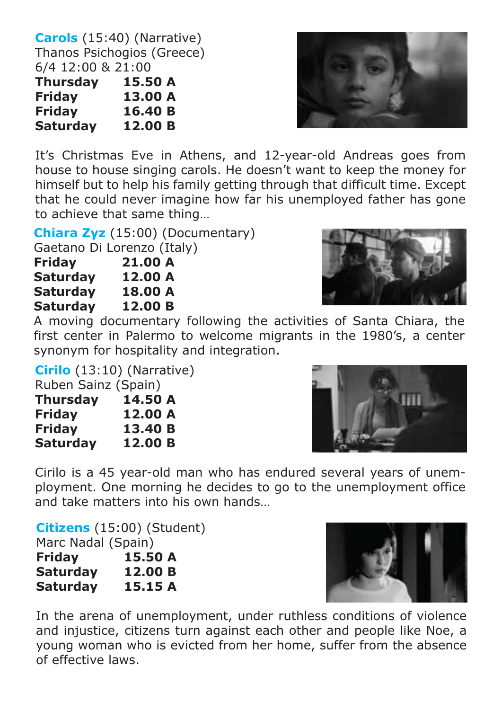**Carols** (15:40) (Narrative) Thanos Psichogios (Greece) 6/4 12:00 & 21:00

| Thursday      | 15.50 A |
|---------------|---------|
| <b>Friday</b> | 13.00 A |
| <b>Friday</b> | 16.40 B |
| Saturday      | 12.00 B |

It's Christmas Eve in Athens, and 12-year-old Andreas goes from house to house singing carols. He doesn't want to keep the money for himself but to help his family getting through that difficult time. Except that he could never imagine how far his unemployed father has gone to achieve that same thing…

**Chiara Zyz** (15:00) (Documentary) Gaetano Di Lorenzo (Italy)

| Friday   | 21.00 A |
|----------|---------|
| Saturday | 12.00 A |
| Saturday | 18.00 A |
| Saturday | 12.00 B |
|          |         |

A moving documentary following the activities of Santa Chiara, the first center in Palermo to welcome migrants in the 1980's, a center synonym for hospitality and integration.

#### **Cirilo** (13:10) (Narrative)

Ruben Sainz (Spain)

| <b>Thursday</b> | 14.50 A |
|-----------------|---------|
| <b>Friday</b>   | 12.00 A |
| <b>Friday</b>   | 13.40 B |
| <b>Saturday</b> | 12.00 B |

Cirilo is a 45 year-old man who has endured several years of unemployment. One morning he decides to go to the unemployment office and take matters into his own hands…

**Citizens** (15:00) (Student)

| Marc Nadal (Spain) |         |
|--------------------|---------|
| <b>Friday</b>      | 15.50 A |
| <b>Saturday</b>    | 12.00 B |
| <b>Saturday</b>    | 15.15 A |

In the arena of unemployment, under ruthless conditions of violence and injustice, citizens turn against each other and people like Noe, a young woman who is evicted from her home, suffer from the absence of effective laws.







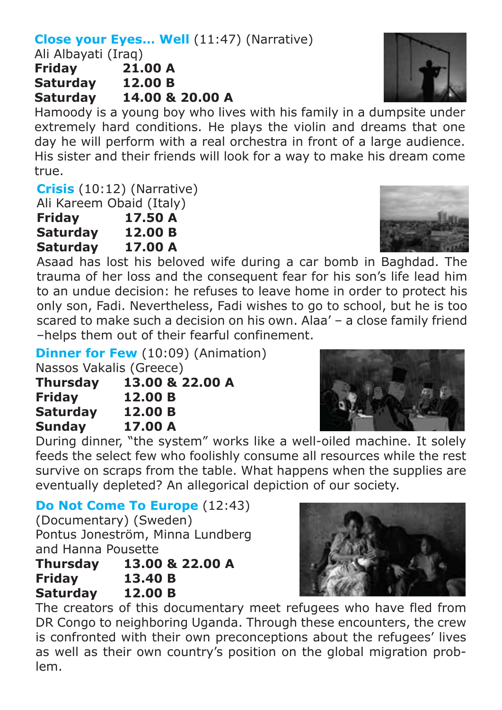#### **Close your Eyes... Well (11:47) (Narrative)**

Ali Albayati (Iraq)

**Friday 21.00 A Saturday 12.00 B Saturday 14.00 & 20.00 A**

Hamoody is a young boy who lives with his family in a dumpsite under extremely hard conditions. He plays the violin and dreams that one day he will perform with a real orchestra in front of a large audience. His sister and their friends will look for a way to make his dream come true.

**Crisis** (10:12) (Narrative)

Ali Kareem Obaid (Italy)

- **Friday 17.50 A**
- **Saturday 12.00 B**

**Saturday 17.00 A**

Asaad has lost his beloved wife during a car bomb in Baghdad. The trauma of her loss and the consequent fear for his son's life lead him to an undue decision: he refuses to leave home in order to protect his only son, Fadi. Nevertheless, Fadi wishes to go to school, but he is too scared to make such a decision on his own. Alaa' – a close family friend –helps them out of their fearful confinement.

**Dinner for Few** (10:09) (Animation)

Nassos Vakalis (Greece)

| Thursday        | 13.00 & 22.00 A |
|-----------------|-----------------|
| Friday          | 12.00 B         |
| <b>Saturday</b> | 12.00 B         |
| <b>Sunday</b>   | 17.00 A         |

During dinner, "the system" works like a well-oiled machine. It solely feeds the select few who foolishly consume all resources while the rest survive on scraps from the table. What happens when the supplies are eventually depleted? An allegorical depiction of our society.

**Do Not Come To Europe** (12:43)

(Documentary) (Sweden) Pontus Joneström, Minna Lundberg and Hanna Pousette

| <b>Thursday</b> | 13.00 & 22.00 A |
|-----------------|-----------------|
| <b>Friday</b>   | 13.40 B         |
| <b>Saturday</b> | 12.00 B         |

The creators of this documentary meet refugees who have fled from DR Congo to neighboring Uganda. Through these encounters, the crew is confronted with their own preconceptions about the refugees' lives as well as their own country's position on the global migration problem.







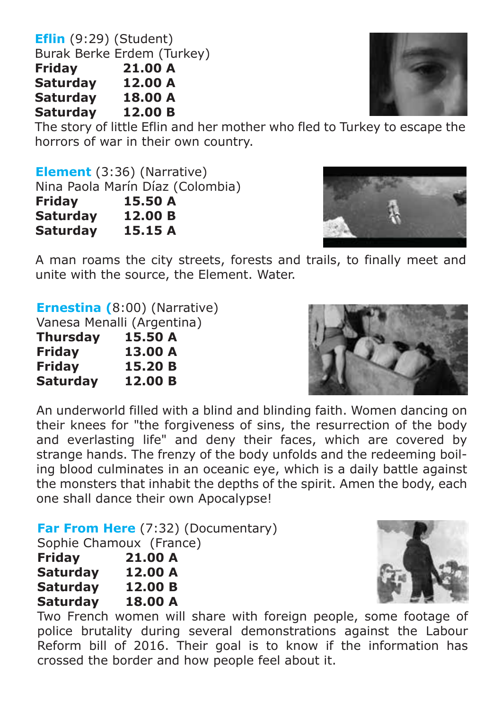**Eflin** (9:29) (Student) Burak Berke Erdem (Turkey)<br>Fridav 21.00 A **Friday 21.00 A Saturday 12.00 A Saturday 18.00 A Saturday** 

The story of little Eflin and her mother who fled to Turkey to escape the horrors of war in their own country.

**Element** (3:36) (Narrative)

Nina Paola Marín Díaz (Colombia) **Friday 15.50 A Saturday 12.00 B** 

**Saturday 15.15 A**

A man roams the city streets, forests and trails, to finally meet and unite with the source, the Element. Water.

**Ernestina (**8:00) (Narrative)

Vanesa Menalli (Argentina)

| Thursday      | 15.50 A |
|---------------|---------|
| <b>Friday</b> | 13.00 A |
| Friday        | 15.20 B |
| Saturday      | 12.00 B |

An underworld filled with a blind and blinding faith. Women dancing on their knees for "the forgiveness of sins, the resurrection of the body and everlasting life" and deny their faces, which are covered by strange hands. The frenzy of the body unfolds and the redeeming boiling blood culminates in an oceanic eye, which is a daily battle against the monsters that inhabit the depths of the spirit. Amen the body, each one shall dance their own Apocalypse!

**Far From Here** (7:32) (Documentary)

Sophie Chamoux (France)

- **Friday 21.00 A Saturday 12.00 A Saturday 12.00 B**
- **Saturday 18.00 A**

Two French women will share with foreign people, some footage of police brutality during several demonstrations against the Labour Reform bill of 2016. Their goal is to know if the information has crossed the border and how people feel about it.







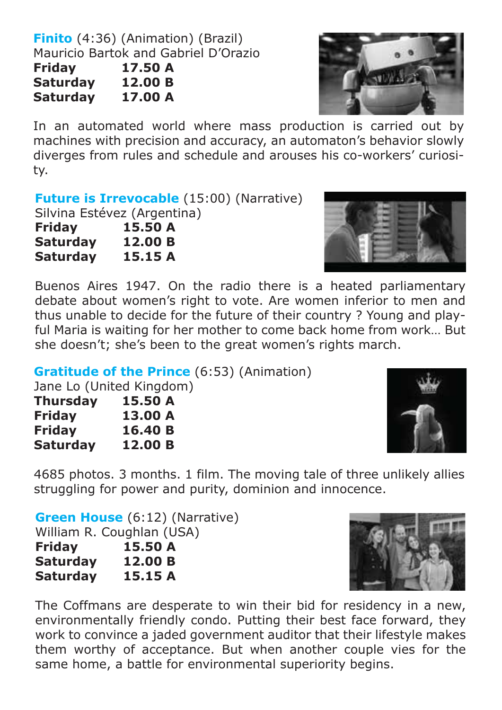**Finito** (4:36) (Animation) (Brazil) Mauricio Bartok and Gabriel D'Οrazio **Friday 17.50 A Saturday 12.00 B**

**Saturday 17.00 A**



In an automated world where mass production is carried out by machines with precision and accuracy, an automaton's behavior slowly diverges from rules and schedule and arouses his co-workers' curiosity.

**Future is Irrevocable** (15:00) (Narrative)

Silvina Estévez (Argentina)<br>**Fridav 15.50 A** 

**15.50 A**<br>**12.00 B Saturday Saturday 15.15 A**



Buenos Aires 1947. On the radio there is a heated parliamentary debate about women's right to vote. Are women inferior to men and thus unable to decide for the future of their country ? Young and playful Maria is waiting for her mother to come back home from work… But she doesn't; she's been to the great women's rights march.

**Gratitude of the Prince** (6:53) (Animation)

Jane Lo (United Kingdom)

| Thursday        | 15.50 A |
|-----------------|---------|
| <b>Friday</b>   | 13.00 A |
| Friday          | 16.40 B |
| <b>Saturday</b> | 12.00 B |



4685 photos. 3 months. 1 film. The moving tale of three unlikely allies struggling for power and purity, dominion and innocence.

**Green House** (6:12) (Narrative) William R. Coughlan (USA)

| Friday   | 15.50 A |
|----------|---------|
| Saturday | 12.00 B |
| Saturday | 15.15 A |



The Coffmans are desperate to win their bid for residency in a new, environmentally friendly condo. Putting their best face forward, they work to convince a jaded government auditor that their lifestyle makes them worthy of acceptance. But when another couple vies for the same home, a battle for environmental superiority begins.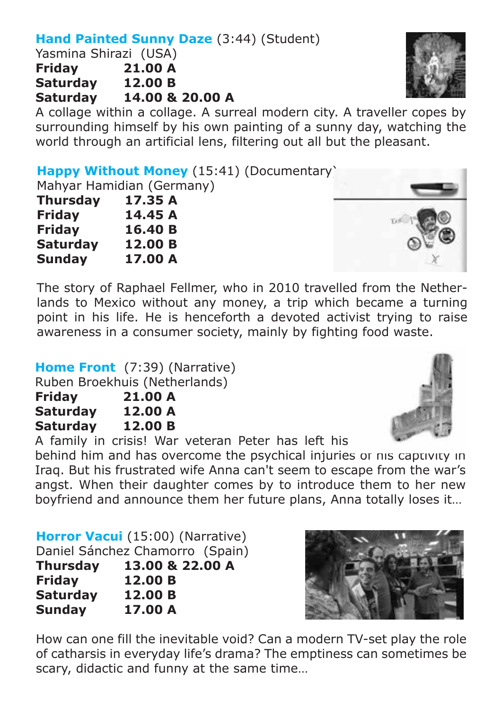#### **Hand Painted Sunny Daze** (3:44) (Student)

Yasmina Shirazi (USA)<br>Fridav 21.00 A **Franc** 21.00 A<br>12.00 B Saturday<br>Saturday **Saturday 14.00 & 20.00 A**

A collage within a collage. A surreal modern city. A traveller copes by surrounding himself by his own painting of a sunny day, watching the world through an artificial lens, filtering out all but the pleasant.

**Happy Without Money** (15:41) (Documentary)

Mahyar Hamidian (Germany)

| <b>Thursday</b> | 17.35 A |
|-----------------|---------|
| Friday          | 14.45 A |
| <b>Friday</b>   | 16.40 B |
| <b>Saturday</b> | 12.00 B |
| Sunday          | 17.00 A |

The story of Raphael Fellmer, who in 2010 travelled from the Netherlands to Mexico without any money, a trip which became a turning point in his life. He is henceforth a devoted activist trying to raise awareness in a consumer society, mainly by fighting food waste.

**Home Front** (7:39) (Narrative)

Ruben Broekhuis (Netherlands)

| <b>Friday</b> | 21.00 A |
|---------------|---------|
| Saturday      | 12.00 A |
| Saturday      | 12.00 B |

A family in crisis! War veteran Peter has left his

behind him and has overcome the psychical injuries of his captivity in Iraq. But his frustrated wife Anna can't seem to escape from the war's angst. When their daughter comes by to introduce them to her new boyfriend and announce them her future plans, Anna totally loses it…

**Horror Vacui** (15:00) (Narrative) Daniel Sánchez Chamorro (Spain) **Thursday 13.00 & 22.00 A**

**Friday 12.00 B Saturday 12.00 B Sunday 17.00 A**

How can one fill the inevitable void? Can a modern TV-set play the role of catharsis in everyday life's drama? The emptiness can sometimes be scary, didactic and funny at the same time…







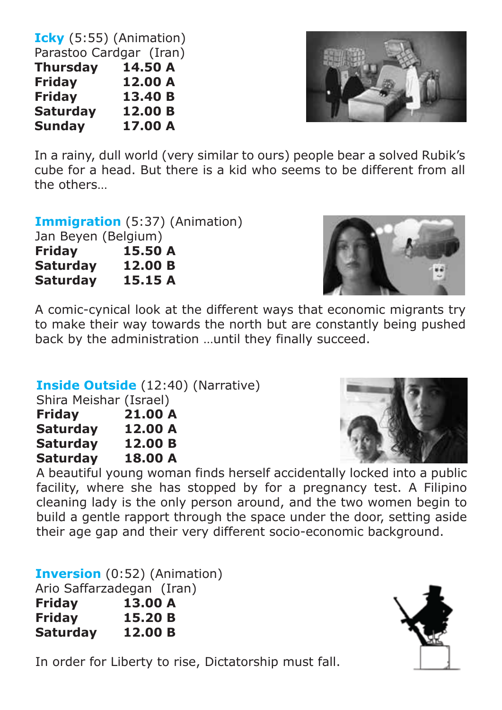**Icky** (5:55) (Animation) Parastoo Cardgar (Iran)<br>Thursday 14.50 A Thursday<br>Fridav  $12.00 A$ <br> $13.40 B$ **Friday 13.40 B Saturday 12.00 B Sunday** 



In a rainy, dull world (very similar to ours) people bear a solved Rubik's cube for a head. But there is a kid who seems to be different from all the others…

#### **Immigration** (5:37) (Animation)

| Jan Beyen (Belgium) |         |
|---------------------|---------|
| <b>Friday</b>       | 15.50 A |
| <b>Saturday</b>     | 12.00 B |
| <b>Saturday</b>     | 15.15 A |



A comic-cynical look at the different ways that economic migrants try to make their way towards the north but are constantly being pushed back by the administration …until they finally succeed.

#### **Inside Outside** (12:40) (Narrative)

|       | Shira Meishar (Israel) |   |
|-------|------------------------|---|
| _ _ _ |                        | . |

| <b>Friday</b>   | 21.00 A |
|-----------------|---------|
| <b>Saturday</b> | 12.00 A |
| <b>Saturday</b> | 12.00 B |
| <b>Saturday</b> | 18.00 A |



A beautiful young woman finds herself accidentally locked into a public facility, where she has stopped by for a pregnancy test. A Filipino cleaning lady is the only person around, and the two women begin to build a gentle rapport through the space under the door, setting aside their age gap and their very different socio-economic background.

**Inversion** (0:52) (Animation) Ario Saffarzadegan (Iran) **Friday 13.00 A Friday 15.20 B Saturday 12.00 B**



In order for Liberty to rise, Dictatorship must fall.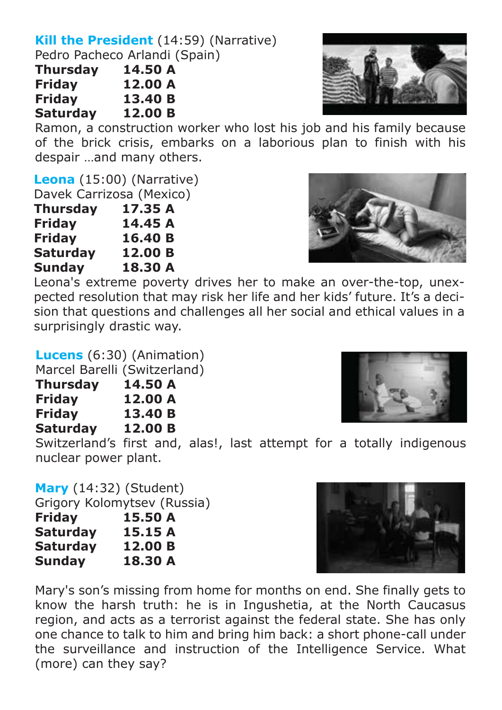#### **Kill the President** (14:59) (Narrative) Pedro Pacheco Arlandi (Spain)

| Thursday        | 14.50 A |
|-----------------|---------|
| <b>Friday</b>   | 12.00 A |
| <b>Friday</b>   | 13.40 B |
| <b>Saturday</b> | 12.00 B |

Ramon, a construction worker who lost his job and his family because of the brick crisis, embarks on a laborious plan to finish with his despair …and many others.

**Leona** (15:00) (Narrative)

Davek Carrizosa (Mexico)

| Thursday      | 17.35 A |
|---------------|---------|
| Friday        | 14.45 A |
| <b>Friday</b> | 16.40 B |
| Saturday      | 12.00 B |
| Sunday        | 18.30 A |

Leona's extreme poverty drives her to make an over-the-top, unexpected resolution that may risk her life and her kids' future. It's a decision that questions and challenges all her social and ethical values in a surprisingly drastic way.

#### **Lucens** (6:30) (Animation)

Marcel Barelli (Switzerland)

| <b>Thursday</b> | 14.50 A |
|-----------------|---------|
| <b>Friday</b>   | 12.00 A |
| <b>Friday</b>   | 13.40 B |
| <b>Saturday</b> | 12.00 B |

Switzerland's first and, alas!, last attempt for a totally indigenous nuclear power plant.

**Mary** (14:32) (Student)

Grigory Kolomytsev (Russia)

| Friday          | 15.50 A |
|-----------------|---------|
| <b>Saturday</b> | 15.15 A |
| <b>Saturday</b> | 12.00 B |
| Sunday          | 18.30 A |

Mary's son's missing from home for months on end. She finally gets to know the harsh truth: he is in Ingushetia, at the North Caucasus region, and acts as a terrorist against the federal state. She has only one chance to talk to him and bring him back: a short phone-call under the surveillance and instruction of the Intelligence Service. What (more) can they say?







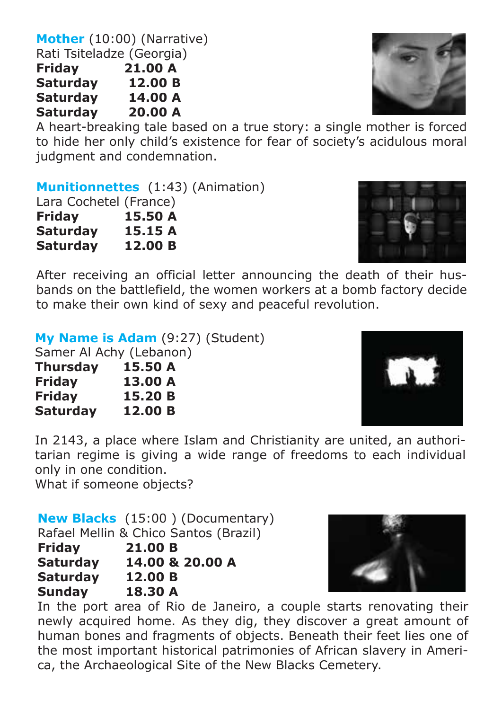**Mother** (10:00) (Narrative) Rati Tsiteladze (Georgia) **Friday 21.00 A Saturday 12.00 B Saturday 14.00 A Saturday** 

A heart-breaking tale based on a true story: a single mother is forced to hide her only child's existence for fear of society's acidulous moral judgment and condemnation.

**Munitionnettes** (1:43) (Animation)

| Lara Cochetel (France) |         |
|------------------------|---------|
| <b>Friday</b>          | 15.50 A |
| <b>Saturday</b>        | 15.15 A |
| <b>Saturday</b>        | 12.00 B |

After receiving an official letter announcing the death of their husbands on the battlefield, the women workers at a bomb factory decide to make their own kind of sexy and peaceful revolution.

**My Name is Adam** (9:27) (Student)

Samer Al Achy (Lebanon)

| Thursday        | 15.50 A |
|-----------------|---------|
| <b>Friday</b>   | 13.00 A |
| <b>Friday</b>   | 15.20 B |
| <b>Saturday</b> | 12.00 B |

In 2143, a place where Islam and Christianity are united, an authoritarian regime is giving a wide range of freedoms to each individual only in one condition.

What if someone objects?

**New Blacks** (15:00 ) (Documentary) Rafael Mellin & Chico Santos (Brazil)

**Friday 21.00 B Saturday 14.00 & 20.00 A** 

**Saturday 12.00 B**

**Sunday 18.30 A**

In the port area of Rio de Janeiro, a couple starts renovating their newly acquired home. As they dig, they discover a great amount of human bones and fragments of objects. Beneath their feet lies one of the most important historical patrimonies of African slavery in America, the Archaeological Site of the New Blacks Cemetery.







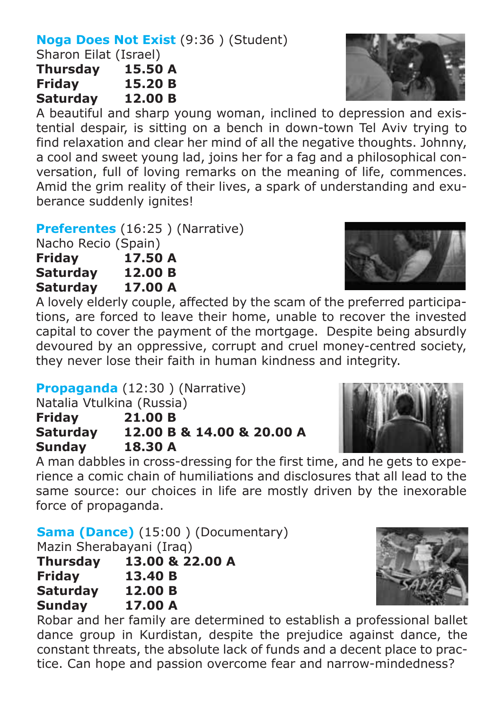#### **Noga Does Not Exist** (9:36 ) (Student)

Sharon Eilat (Israel)

**Thursday 15.50 A f15.20 B Saturday 12.00 B**

A beautiful and sharp young woman, inclined to depression and existential despair, is sitting on a bench in down-town Tel Aviv trying to find relaxation and clear her mind of all the negative thoughts. Johnny, a cool and sweet young lad, joins her for a fag and a philosophical conversation, full of loving remarks on the meaning of life, commences. Amid the grim reality of their lives, a spark of understanding and exuberance suddenly ignites!

**Preferentes** (16:25 ) (Narrative)

Nacho Recio (Spain) **Friday 17.50 A Saturday 12.00 B Saturday 17.00 A**

A lovely elderly couple, affected by the scam of the preferred participations, are forced to leave their home, unable to recover the invested capital to cover the payment of the mortgage. Despite being absurdly devoured by an oppressive, corrupt and cruel money-centred society, they never lose their faith in human kindness and integrity.

**Propaganda** (12:30 ) (Narrative)

Natalia Vtulkina (Russia)

**Friday 21.00 B**

**Saturday 12.00 B & 14.00 & 20.00 A Sunday 18.30 A**

A man dabbles in cross-dressing for the first time, and he gets to experience a comic chain of humiliations and disclosures that all lead to the same source: our choices in life are mostly driven by the inexorable force of propaganda.

**Sama (Dance)** (15:00 ) (Documentary)

Mazin Sherabayani (Iraq)

| <b>Thursday</b> | 13.00 & 22.00 A |
|-----------------|-----------------|
| <b>Friday</b>   | 13.40 B         |
| <b>Saturday</b> | 12.00 B         |
| <b>Sunday</b>   | 17.00 A         |

Robar and her family are determined to establish a professional ballet dance group in Kurdistan, despite the prejudice against dance, the constant threats, the absolute lack of funds and a decent place to practice. Can hope and passion overcome fear and narrow-mindedness?







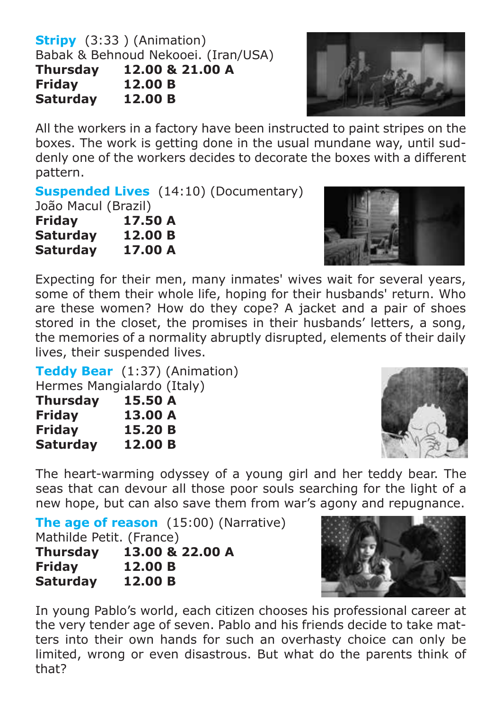**Stripy** (3:33 ) (Animation) Babak & Behnoud Nekooei. (Iran/USA) **Thursday 12.00 & 21.00 A Friday 12.00 B Saturday** 



All the workers in a factory have been instructed to paint stripes on the boxes. The work is getting done in the usual mundane way, until suddenly one of the workers decides to decorate the boxes with a different pattern.

**Suspended Lives** (14:10) (Documentary)

João Macul (Brazil)

| <b>Friday</b>   | 17.50 A |
|-----------------|---------|
| <b>Saturday</b> | 12.00 B |
| <b>Saturday</b> | 17.00 A |



Expecting for their men, many inmates' wives wait for several years, some of them their whole life, hoping for their husbands' return. Who are these women? How do they cope? A jacket and a pair of shoes stored in the closet, the promises in their husbands' letters, a song, the memories of a normality abruptly disrupted, elements of their daily lives, their suspended lives.

**Teddy Bear** (1:37) (Animation)

Hermes Mangialardo (Italy)

| <b>Thursday</b> | 15.50 A |
|-----------------|---------|
| <b>Friday</b>   | 13.00 A |
| <b>Friday</b>   | 15.20 B |
| <b>Saturday</b> | 12.00 B |



The heart-warming odyssey of a young girl and her teddy bear. The seas that can devour all those poor souls searching for the light of a new hope, but can also save them from war's agony and repugnance.

**The age of reason** (15:00) (Narrative) Mathilde Petit. (France) **Thursday 13.00 & 22.00 A Friday 12.00 B Saturday 12.00 B**



In young Pablo's world, each citizen chooses his professional career at the very tender age of seven. Pablo and his friends decide to take matters into their own hands for such an overhasty choice can only be limited, wrong or even disastrous. But what do the parents think of that?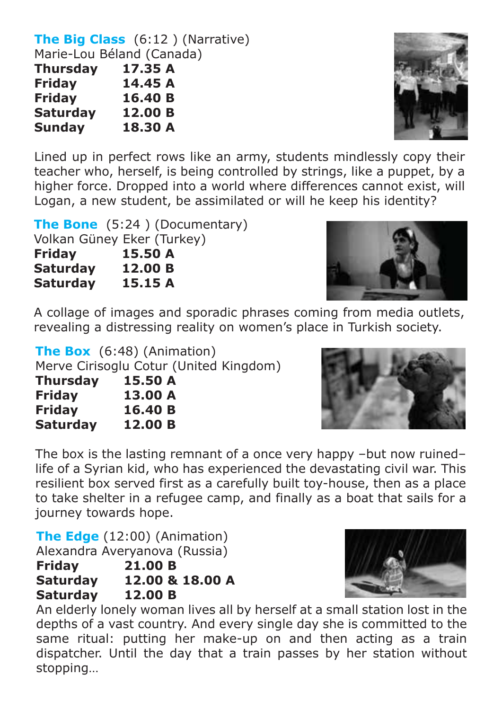**The Big Class** (6:12 ) (Narrative) Marie-Lou Béland (Canada)

| <b>Thursday</b> | 17.35 A |
|-----------------|---------|
| Friday          | 14.45 A |
| Friday          | 16.40 B |
| <b>Saturday</b> | 12.00 B |
| <b>Sunday</b>   | 18.30 A |

Lined up in perfect rows like an army, students mindlessly copy their teacher who, herself, is being controlled by strings, like a puppet, by a higher force. Dropped into a world where differences cannot exist, will Logan, a new student, be assimilated or will he keep his identity?

| <b>The Bone</b> $(5:24)$ (Documentary) |
|----------------------------------------|
| Volkan Güney Eker (Turkey)             |
| 15.50 A                                |
| 12.00 B                                |
| 15.15 A                                |
|                                        |

A collage of images and sporadic phrases coming from media outlets, revealing a distressing reality on women's place in Turkish society.

**The Box** (6:48) (Animation) Merve Cirisoglu Cotur (United Kingdom) **Thursday 15.50 A Friday 13.00 A**

**Friday 16.40 B Saturday 12.00 B**

The box is the lasting remnant of a once very happy –but now ruined– life of a Syrian kid, who has experienced the devastating civil war. This resilient box served first as a carefully built toy-house, then as a place to take shelter in a refugee camp, and finally as a boat that sails for a journey towards hope.

**The Edge** (12:00) (Animation) Alexandra Averyanova (Russia)

| <b>Friday</b>   | 21.00 B         |
|-----------------|-----------------|
| <b>Saturday</b> | 12.00 & 18.00 A |
| <b>Saturday</b> | 12.00 B         |

An elderly lonely woman lives all by herself at a small station lost in the depths of a vast country. And every single day she is committed to the same ritual: putting her make-up on and then acting as a train dispatcher. Until the day that a train passes by her station without stopping…







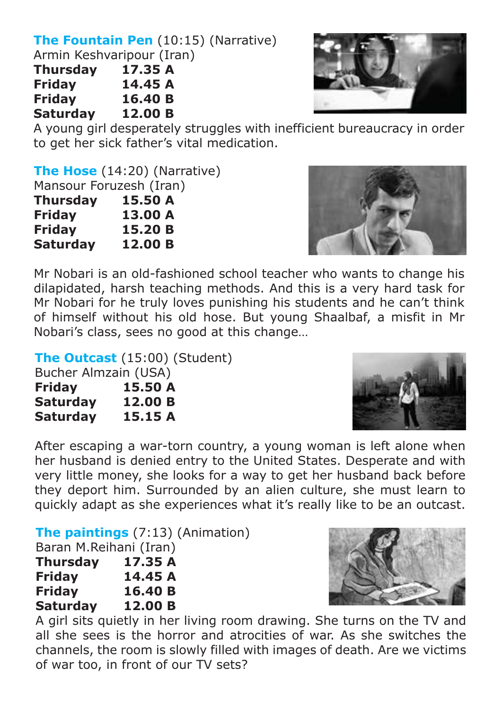## **The Fountain Pen** (10:15) (Narrative)

Armin Keshvaripour (Iran)

| <b>Thursday</b> | 17.35 A |
|-----------------|---------|
| <b>Friday</b>   | 14.45 A |
| <b>Friday</b>   | 16.40 B |
| <b>Saturday</b> | 12.00 B |



A young girl desperately struggles with inefficient bureaucracy in order to get her sick father's vital medication.

**The Hose** (14:20) (Narrative) Mansour Foruzesh (Iran)<br>Thursday 15.50 A **Thursday 15.50 A Friday<br>Fridav** 

**fraga** 15.20 B<br>12.00 B **Saturday** 



Mr Nobari is an old-fashioned school teacher who wants to change his dilapidated, harsh teaching methods. And this is a very hard task for Mr Nobari for he truly loves punishing his students and he can't think of himself without his old hose. But young Shaalbaf, a misfit in Mr Nobari's class, sees no good at this change…

**The Outcast** (15:00) (Student)

| Bucher Almzain (USA) |         |
|----------------------|---------|
| <b>Friday</b>        | 15.50 A |
| <b>Saturday</b>      | 12.00 B |
| <b>Saturday</b>      | 15.15 A |

After escaping a war-torn country, a young woman is left alone when her husband is denied entry to the United States. Desperate and with very little money, she looks for a way to get her husband back before they deport him. Surrounded by an alien culture, she must learn to quickly adapt as she experiences what it's really like to be an outcast.

**The paintings** (7:13) (Animation)

Baran M.Reihani (Iran)

| Thursday      | 17.35 A |
|---------------|---------|
| <b>Friday</b> | 14.45 A |
| <b>Friday</b> | 16.40 B |
| Saturday      | 12.00 B |

A girl sits quietly in her living room drawing. She turns on the TV and all she sees is the horror and atrocities of war. As she switches the channels, the room is slowly filled with images of death. Are we victims of war too, in front of our TV sets?



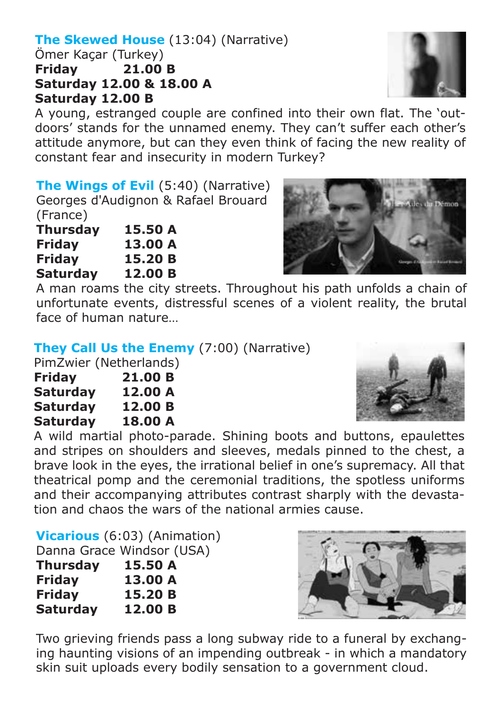#### **The Skewed House** (13:04) (Narrative)

Ömer Kaçar (Turkey)<br>Fridav 21.00 **21.00 B Saturday 12.00 & 18.00 A Saturday 12.00 B**

A young, estranged couple are confined into their own flat. The 'outdoors' stands for the unnamed enemy. They can't suffer each other's attitude anymore, but can they even think of facing the new reality of constant fear and insecurity in modern Turkey?

**The Wings of Evil** (5:40) (Narrative) Georges d'Audignon & Rafael Brouard (France)

| Thursday      | 15.50 A |
|---------------|---------|
| <b>Friday</b> | 13.00 A |
| Friday        | 15.20 B |
| Saturday      | 12.00 B |

A man roams the city streets. Throughout his path unfolds a chain of unfortunate events, distressful scenes of a violent reality, the brutal face of human nature…

**They Call Us the Enemy** (7:00) (Narrative)

PimZwier (Netherlands)

| <b>Friday</b>   | 21.00 B |
|-----------------|---------|
| <b>Saturday</b> | 12.00 A |
| <b>Saturday</b> | 12.00 B |
| <b>Saturday</b> | 18.00 A |

A wild martial photo-parade. Shining boots and buttons, epaulettes and stripes on shoulders and sleeves, medals pinned to the chest, a brave look in the eyes, the irrational belief in one's supremacy. All that theatrical pomp and the ceremonial traditions, the spotless uniforms and their accompanying attributes contrast sharply with the devastation and chaos the wars of the national armies cause.

**Vicarious** (6:03) (Animation) Danna Grace Windsor (USA) **Thursday 15.50 A**

| <b>Friday</b> | 13.00 A |
|---------------|---------|
| <b>Friday</b> | 15.20 B |
| Saturday      | 12.00 B |

Two grieving friends pass a long subway ride to a funeral by exchanging haunting visions of an impending outbreak - in which a mandatory skin suit uploads every bodily sensation to a government cloud.







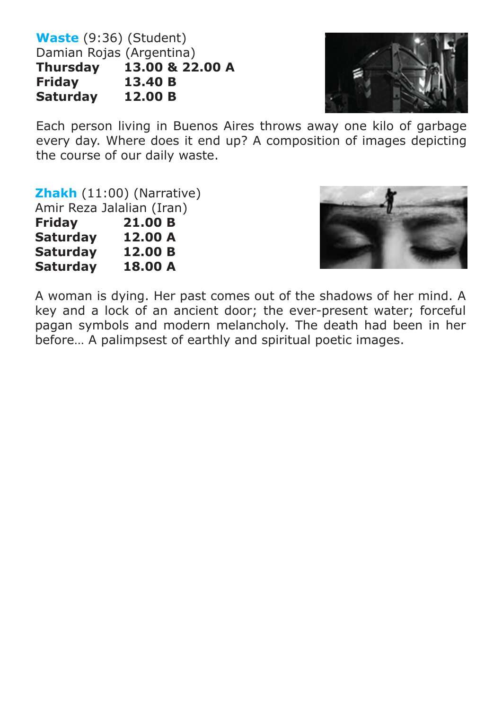**Waste** (9:36) (Student) Damian Rojas (Argentina)<br>Thursdav 13.00 & 22  $13.00 \& 22.00 \& 13.40 \& 13.40 \& 13.40 \& 13.40 \& 13.40 \& 13.40 \& 13.40 \& 13.40 \& 13.40 \& 13.40 \& 13.40 \& 13.40 \& 13.40 \& 13.40 \& 13.40 \& 13.40 \& 13.40 \& 13.40 \& 13.40 \& 13.40 \& 13.40 \& 13.40 \& 13.40 \& 13.40 \& 13.40 \& 13.4$ **Friday 13.40 B Saturday** 



Each person living in Buenos Aires throws away one kilo of garbage every day. Where does it end up? A composition of images depicting the course of our daily waste.

**Zhakh** (11:00) (Narrative)

Amir Reza Jalalian (Iran)

| <b>Friday</b>   | 21.00 B |
|-----------------|---------|
| <b>Saturday</b> | 12.00 A |
| Saturday        | 12.00 B |
| Saturday        | 18.00 A |



A woman is dying. Her past comes out of the shadows of her mind. A key and a lock of an ancient door; the ever-present water; forceful pagan symbols and modern melancholy. The death had been in her before… A palimpsest of earthly and spiritual poetic images.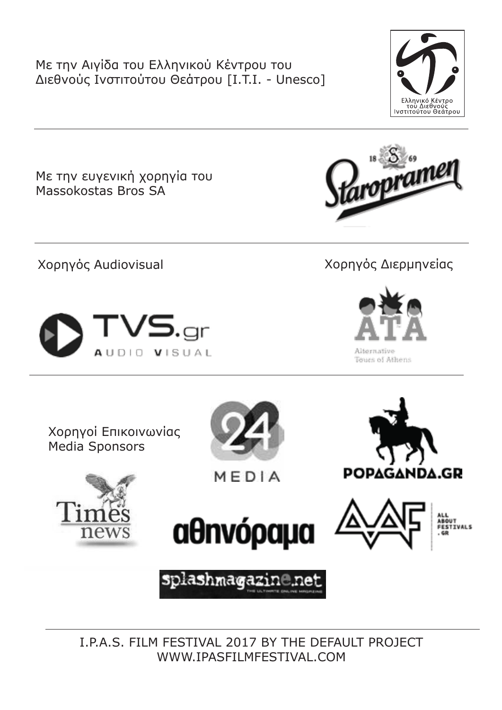Με την Αιγίδα του Ελληνικού Κέντρου του Διεθνούς Ινστιτούτου Θεάτρου [I.T.I. - Unesco]



Με την ευγενική χορηγία του Massokostas Bros SA



Χορηγός Audiovisual Χορηγός Διερμηνείας

ropram



Alternative Tours of Athens

Χορηγοί Επικοινωνίας Media Sponsors



MEDIA









splashmagazin@.ne

I.P.A.S. FILM FESTIVAL 2017 BY THE DEFAULT PROJECT WWW.IPASFILMFESTIVAL.COM